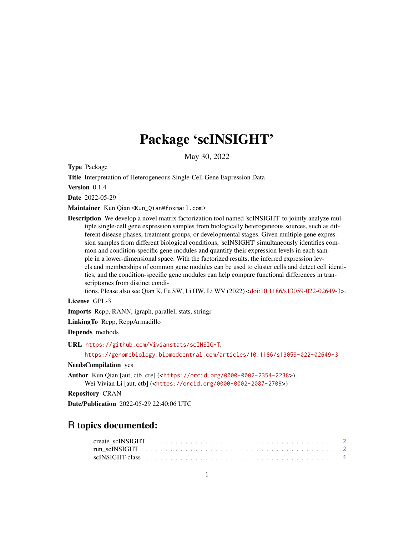## Package 'scINSIGHT'

May 30, 2022

Type Package

Title Interpretation of Heterogeneous Single-Cell Gene Expression Data

Version 0.1.4

Date 2022-05-29

Maintainer Kun Qian <Kun\_Qian@foxmail.com>

Description We develop a novel matrix factorization tool named 'scINSIGHT' to jointly analyze multiple single-cell gene expression samples from biologically heterogeneous sources, such as different disease phases, treatment groups, or developmental stages. Given multiple gene expression samples from different biological conditions, 'scINSIGHT' simultaneously identifies common and condition-specific gene modules and quantify their expression levels in each sample in a lower-dimensional space. With the factorized results, the inferred expression levels and memberships of common gene modules can be used to cluster cells and detect cell identities, and the condition-specific gene modules can help compare functional differences in transcriptomes from distinct condi-

tions. Please also see Qian K, Fu SW, Li HW, Li WV (2022) [<doi:10.1186/s13059-022-02649-3>](https://doi.org/10.1186/s13059-022-02649-3).

License GPL-3

Imports Rcpp, RANN, igraph, parallel, stats, stringr

LinkingTo Rcpp, RcppArmadillo

Depends methods

URL <https://github.com/Vivianstats/scINSIGHT>,

<https://genomebiology.biomedcentral.com/articles/10.1186/s13059-022-02649-3>

### NeedsCompilation yes

Author Kun Qian [aut, ctb, cre] (<<https://orcid.org/0000-0002-2354-2238>>), Wei Vivian Li [aut, ctb] (<<https://orcid.org/0000-0002-2087-2709>>)

Repository CRAN

Date/Publication 2022-05-29 22:40:06 UTC

### R topics documented: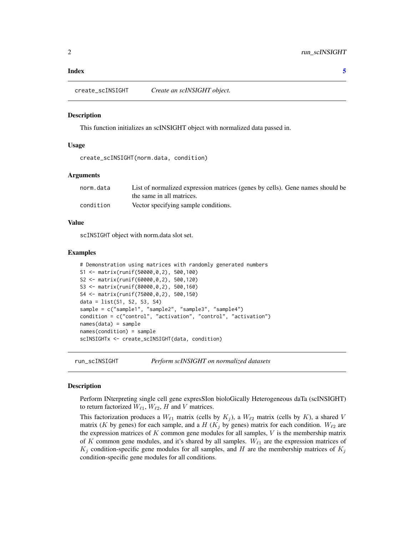### <span id="page-1-0"></span>**Index** [5](#page-4-0). The second state of the second state of the second state of the second state of the second state of the second state of the second state of the second state of the second state of the second state of the second

create\_scINSIGHT *Create an scINSIGHT object.*

### Description

This function initializes an scINSIGHT object with normalized data passed in.

### Usage

create\_scINSIGHT(norm.data, condition)

### Arguments

| norm.data | List of normalized expression matrices (genes by cells). Gene names should be |
|-----------|-------------------------------------------------------------------------------|
|           | the same in all matrices.                                                     |
| condition | Vector specifying sample conditions.                                          |

### Value

scINSIGHT object with norm.data slot set.

### Examples

```
# Demonstration using matrices with randomly generated numbers
S1 <- matrix(runif(50000,0,2), 500,100)
S2 <- matrix(runif(60000,0,2), 500,120)
S3 <- matrix(runif(80000,0,2), 500,160)
S4 <- matrix(runif(75000,0,2), 500,150)
data = list(S1, S2, S3, S4)sample = c("sample1", "sample2", "sample3", "sample4")
condition = c("control", "activation", "control", "activation")
names(data) = sample
names(condition) = sample
scINSIGHTx <- create_scINSIGHT(data, condition)
```
run\_scINSIGHT *Perform scINSIGHT on normalized datasets*

### Description

Perform INterpreting single cell gene expresSIon bioloGically Heterogeneous daTa (scINSIGHT) to return factorized  $W_{\ell 1}$ ,  $W_{\ell 2}$ , H and V matrices.

This factorization produces a  $W_{\ell 1}$  matrix (cells by  $K_j$ ), a  $W_{\ell 2}$  matrix (cells by K), a shared V matrix (K by genes) for each sample, and a H ( $K_i$  by genes) matrix for each condition.  $W_{\ell_2}$  are the expression matrices of  $K$  common gene modules for all samples,  $V$  is the membership matrix of K common gene modules, and it's shared by all samples.  $W_{\ell_1}$  are the expression matrices of  $K_j$  condition-specific gene modules for all samples, and H are the membership matrices of  $K_j$ condition-specific gene modules for all conditions.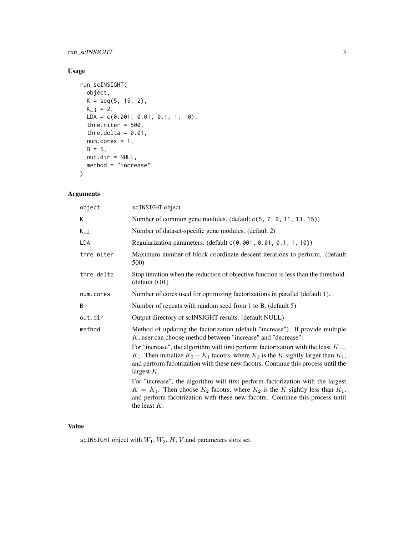### run\_scINSIGHT 3

### Usage

```
run_scINSIGHT(
 object,
 K = seq(5, 15, 2),K_{-}j = 2,LDA = c(0.001, 0.01, 0.1, 1, 10),
  thre.niter = 500,
  thre.delta = 0.01,
 num.cores = 1,
 B = 5,out.dir = NULL,
 method = "increase"
\mathcal{L}
```
### Arguments

| object     | scINSIGHT object.                                                                                                                                                                                                                                                                          |
|------------|--------------------------------------------------------------------------------------------------------------------------------------------------------------------------------------------------------------------------------------------------------------------------------------------|
| K          | Number of common gene modules. (default $c(5, 7, 9, 11, 13, 15)$ )                                                                                                                                                                                                                         |
| K_j        | Number of dataset-specific gene modules. (default 2)                                                                                                                                                                                                                                       |
| <b>LDA</b> | Regularization parameters. (default c(0.001, 0.01, 0.1, 1, 10))                                                                                                                                                                                                                            |
| thre.niter | Maximum number of block coordinate descent iterations to perform. (default<br>500)                                                                                                                                                                                                         |
| thre.delta | Stop iteration when the reduction of objective function is less than the threshold.<br>(default 0.01)                                                                                                                                                                                      |
| num.cores  | Number of cores used for optimizing factorizations in parallel (default 1).                                                                                                                                                                                                                |
| B          | Number of repeats with random seed from 1 to B. (default 5)                                                                                                                                                                                                                                |
| out.dir    | Output directory of scINSIGHT results. (default NULL)                                                                                                                                                                                                                                      |
| method     | Method of updating the factorization (default "increase"). If provide multiple<br>K, user can choose method between "increase" and "decrease".                                                                                                                                             |
|            | For "increase", the algorithm will first perform factorization with the least $K =$<br>$K_1$ . Then initialize $K_2 - K_1$ facotrs, where $K_2$ is the K sightly larger than $K_1$ ,<br>and perform facotrization with these new facotrs. Continue this process until the<br>largest $K$ . |
|            | For "increase", the algorithm will first perform factorization with the largest<br>$K = K_1$ . Then choose $K_2$ facotrs, where $K_2$ is the K sightly less than $K_1$ ,<br>and perform facotrization with these new facotrs. Continue this process until<br>the least $K$ .               |

### Value

scINSIGHT object with  $W_1, W_2, H, V$  and parameters slots set.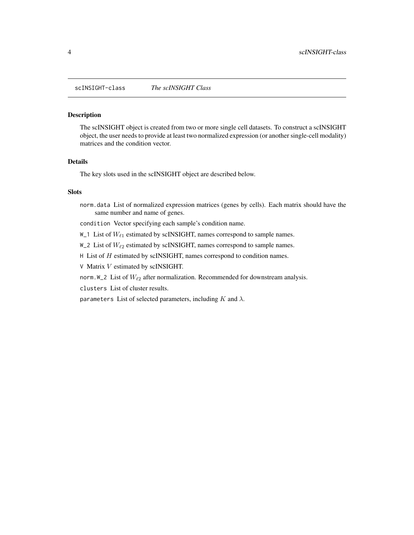<span id="page-3-0"></span>scINSIGHT-class *The scINSIGHT Class*

### Description

The scINSIGHT object is created from two or more single cell datasets. To construct a scINSIGHT object, the user needs to provide at least two normalized expression (or another single-cell modality) matrices and the condition vector.

### Details

The key slots used in the scINSIGHT object are described below.

### Slots

norm.data List of normalized expression matrices (genes by cells). Each matrix should have the same number and name of genes.

condition Vector specifying each sample's condition name.

 $W_1$ 1 List of  $W_{\ell_1}$  estimated by scINSIGHT, names correspond to sample names.

W\_2 List of  $W_{\ell 2}$  estimated by scINSIGHT, names correspond to sample names.

 $H$  List of  $H$  estimated by scINSIGHT, names correspond to condition names.

V Matrix V estimated by scINSIGHT.

norm. W\_2 List of  $W_{\ell 2}$  after normalization. Recommended for downstream analysis.

clusters List of cluster results.

parameters List of selected parameters, including  $K$  and  $\lambda$ .